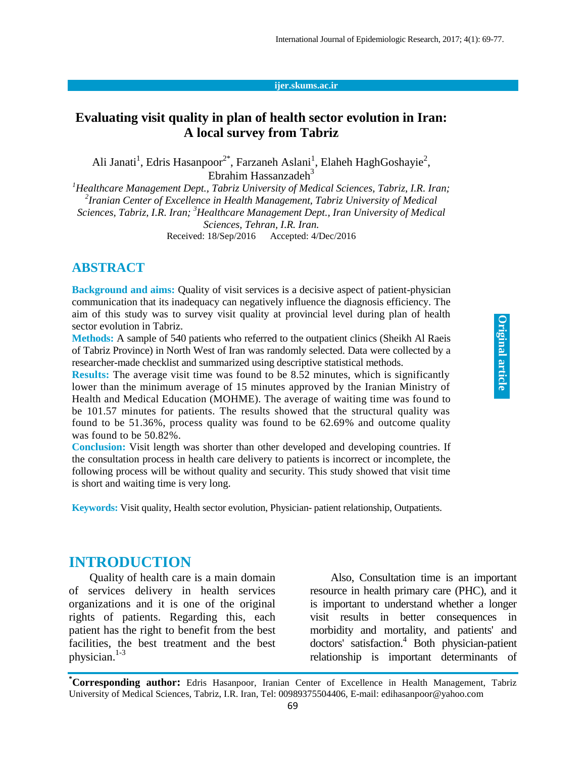#### **ijer.skums.ac.ir**

## **Evaluating visit quality in plan of health sector evolution in Iran: A local survey from Tabriz**

Ali Janati<sup>1</sup>, Edris Hasanpoor<sup>2\*</sup>, Farzaneh Aslani<sup>1</sup>, Elaheh HaghGoshayie<sup>2</sup>, Ebrahim Hassanzadeh $3$ 

*<sup>1</sup>Healthcare Management Dept., Tabriz University of Medical Sciences, Tabriz, I.R. Iran; 2 Iranian Center of Excellence in Health Management, Tabriz University of Medical Sciences, Tabriz, I.R. Iran; <sup>3</sup>Healthcare Management Dept., Iran University of Medical Sciences, Tehran, I.R. Iran.* Received: 18/Sep/2016 Accepted: 4/Dec/2016

#### **ABSTRACT**

**Background and aims:** Quality of visit services is a decisive aspect of patient-physician communication that its inadequacy can negatively influence the diagnosis efficiency. The aim of this study was to survey visit quality at provincial level during plan of health sector evolution in Tabriz.

**Methods:** A sample of 540 patients who referred to the outpatient clinics (Sheikh Al Raeis of Tabriz Province) in North West of Iran was randomly selected. Data were collected by a researcher-made checklist and summarized using descriptive statistical methods.

**Results:** The average visit time was found to be 8.52 minutes, which is significantly lower than the minimum average of 15 minutes approved by the Iranian Ministry of Health and Medical Education (MOHME). The average of waiting time was found to be 101.57 minutes for patients. The results showed that the structural quality was found to be 51.36%, process quality was found to be 62.69% and outcome quality was found to be 50.82%.

**Conclusion:** Visit length was shorter than other developed and developing countries. If the consultation process in health care delivery to patients is incorrect or incomplete, the following process will be without quality and security. This study showed that visit time is short and waiting time is very long.

**Keywords:** Visit quality, Health sector evolution, Physician- patient relationship, Outpatients.

## **INTRODUCTION**

Quality of health care is a main domain of services delivery in health services organizations and it is one of the original rights of patients. Regarding this, each patient has the right to benefit from the best facilities, the best treatment and the best physician. 1-3

Also, Consultation time is an important resource in health primary care (PHC), and it is important to understand whether a longer visit results in better consequences in morbidity and mortality, and patients' and doctors' satisfaction. <sup>4</sup> Both physician-patient relationship is important determinants of

**\*Corresponding author:** Edris Hasanpoor, Iranian Center of Excellence in Health Management, Tabriz University of Medical Sciences, Tabriz, I.R. Iran, Tel: 00989375504406, E-mail: edihasanpoor@yahoo.com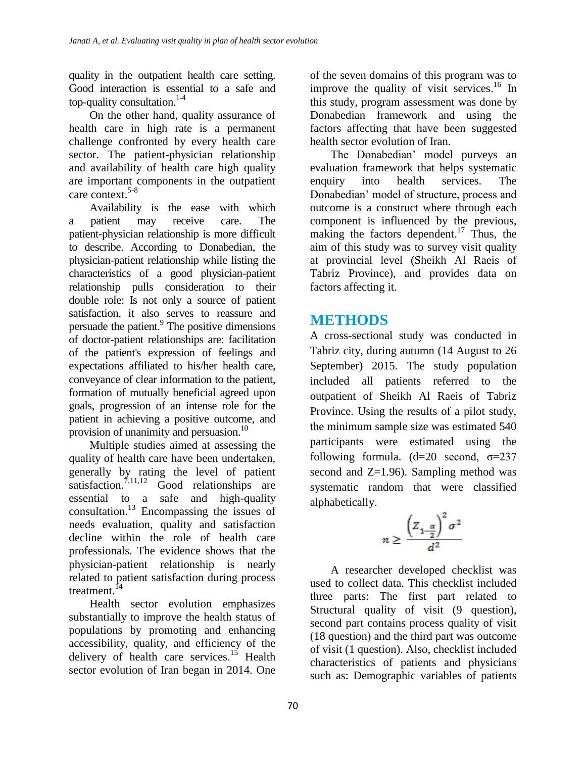quality in the outpatient health care setting. Good interaction is essential to a safe and top-quality consultation.<sup>1-4</sup>

On the other hand, quality assurance of health care in high rate is a permanent challenge confronted by every health care sector. The patient-physician relationship and availability of health care high quality are important components in the outpatient care context. 5-8

Availability is the ease with which a patient may receive care. The patient-physician relationship is more difficult to describe. According to Donabedian, the physician-patient relationship while listing the characteristics of a good physician-patient relationship pulls consideration to their double role: Is not only a source of patient satisfaction, it also serves to reassure and persuade the patient.<sup>9</sup> The positive dimensions of doctor-patient relationships are: facilitation of the patient's expression of feelings and expectations affiliated to his/her health care, conveyance of clear information to the patient, formation of mutually beneficial agreed upon goals, progression of an intense role for the patient in achieving a positive outcome, and provision of unanimity and persuasion.<sup>10</sup>

Multiple studies aimed at assessing the quality of health care have been undertaken, generally by rating the level of patient satisfaction.<sup>7,11,12</sup> Good relationships are essential to a safe and high-quality consultation. <sup>13</sup> Encompassing the issues of needs evaluation, quality and satisfaction decline within the role of health care professionals. The evidence shows that the physician-patient relationship is nearly related to patient satisfaction during process treatment.<sup>14</sup>

Health sector evolution emphasizes substantially to improve the health status of populations by promoting and enhancing accessibility, quality, and efficiency of the delivery of health care services.<sup>15</sup> Health sector evolution of Iran began in 2014. One

of the seven domains of this program was to improve the quality of visit services.<sup>16</sup> In this study, program assessment was done by Donabedian framework and using the factors affecting that have been suggested health sector evolution of Iran.

The Donabedian' model purveys an evaluation framework that helps systematic enquiry into health services. The Donabedian' model of structure, process and outcome is a construct where through each component is influenced by the previous, making the factors dependent.<sup>17</sup> Thus, the aim of this study was to survey visit quality at provincial level (Sheikh Al Raeis of Tabriz Province), and provides data on factors affecting it.

# **METHODS**

A cross-sectional study was conducted in Tabriz city, during autumn (14 August to 26 September) 2015. The study population included all patients referred to the outpatient of Sheikh Al Raeis of Tabriz Province. Using the results of a pilot study, the minimum sample size was estimated 540 participants were estimated using the following formula. (d=20 second,  $\sigma$ =237 second and  $Z=1.96$ ). Sampling method was systematic random that were classified alphabetically.

$$
n \geq \frac{\left(Z_{1-\frac{\alpha}{2}}\right)^2 \sigma^2}{d^2}
$$

A researcher developed checklist was used to collect data. This checklist included three parts: The first part related to Structural quality of visit (9 question), second part contains process quality of visit (18 question) and the third part was outcome of visit (1 question). Also, checklist included characteristics of patients and physicians such as: Demographic variables of patients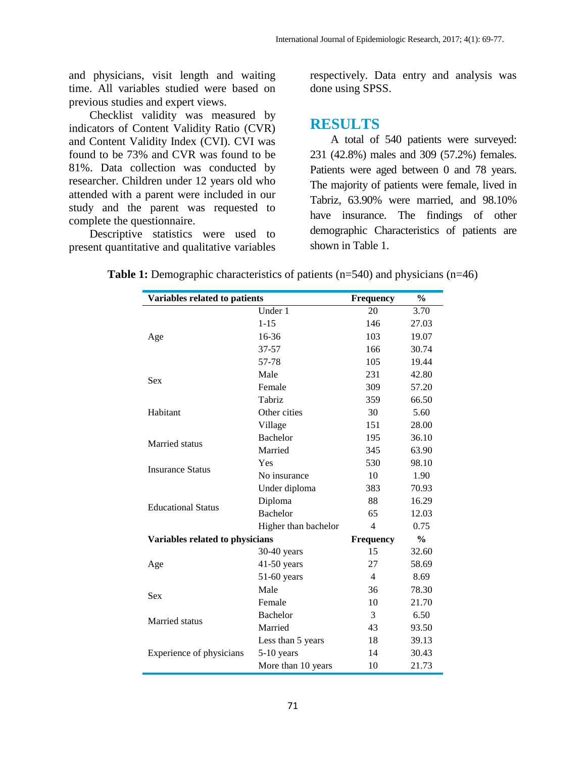and physicians, visit length and waiting time. All variables studied were based on previous studies and expert views.

Checklist validity was measured by indicators of Content Validity Ratio (CVR) and Content Validity Index (CVI). CVI was found to be 73% and CVR was found to be 81%. Data collection was conducted by researcher. Children under 12 years old who attended with a parent were included in our study and the parent was requested to complete the questionnaire.

Descriptive statistics were used to present quantitative and qualitative variables respectively. Data entry and analysis was done using SPSS.

#### **RESULTS**

A total of 540 patients were surveyed: 231 (42.8%) males and 309 (57.2%) females. Patients were aged between 0 and 78 years. The majority of patients were female, lived in Tabriz, 63.90% were married, and 98.10% have insurance. The findings of other demographic Characteristics of patients are shown in Table 1.

| Variables related to patients   |                      | Frequency      | $\frac{0}{0}$ |
|---------------------------------|----------------------|----------------|---------------|
|                                 | Under 1              | 20             | 3.70          |
|                                 | $1 - 15$             | 146            | 27.03         |
| Age                             | 16-36                | 103            | 19.07         |
|                                 | 37-57                | 166            | 30.74         |
|                                 | 57-78                | 105            | 19.44         |
| Sex                             | Male                 | 231            | 42.80         |
|                                 | Female               | 309            | 57.20         |
|                                 | Tabriz               | 359            | 66.50         |
| Habitant                        | Other cities         | 30             | 5.60          |
|                                 | Village              | 151            | 28.00         |
| Married status                  | <b>Bachelor</b>      | 195            | 36.10         |
|                                 | Married              | 345            | 63.90         |
|                                 | Yes                  | 530            | 98.10         |
| <b>Insurance Status</b>         | No insurance         | 10             | 1.90          |
|                                 | Under diploma        | 383            | 70.93         |
| <b>Educational Status</b>       | Diploma              | 88             | 16.29         |
|                                 | <b>Bachelor</b>      | 65             | 12.03         |
|                                 | Higher than bachelor | $\overline{4}$ | 0.75          |
| Variables related to physicians |                      | Frequency      | $\frac{0}{0}$ |
|                                 | $30-40$ years        | 15             | 32.60         |
| Age                             | $41-50$ years        | 27             | 58.69         |
|                                 | $51-60$ years        | $\overline{4}$ | 8.69          |
| Sex                             | Male                 | 36             | 78.30         |
|                                 | Female               | 10             | 21.70         |
|                                 | Bachelor             | 3              | 6.50          |
| Married status                  | Married              | 43             | 93.50         |
|                                 | Less than 5 years    | 18             | 39.13         |
| Experience of physicians        | 5-10 years           | 14             | 30.43         |
|                                 | More than 10 years   | 10             | 21.73         |

**Table 1:** Demographic characteristics of patients (n=540) and physicians (n=46)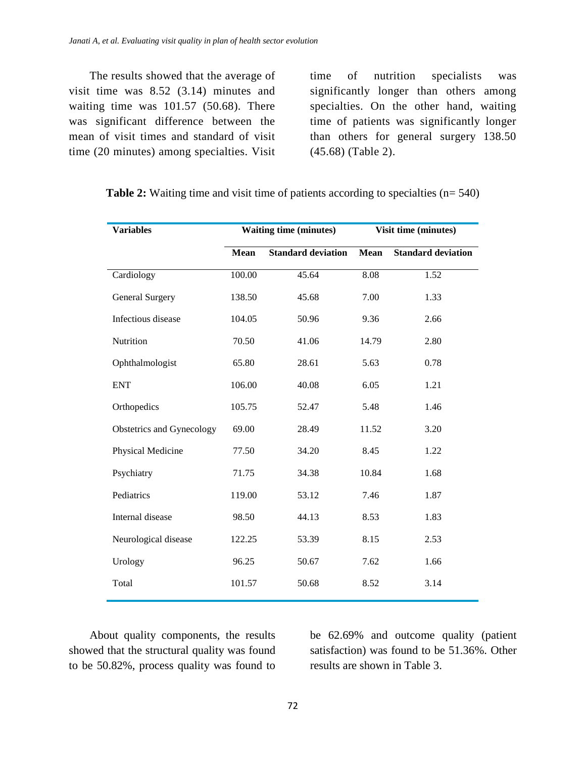The results showed that the average of visit time was 8.52 (3.14) minutes and waiting time was 101.57 (50.68). There was significant difference between the mean of visit times and standard of visit time (20 minutes) among specialties. Visit

time of nutrition specialists was significantly longer than others among specialties. On the other hand, waiting time of patients was significantly longer than others for general surgery 138.50 (45.68) (Table 2).

| <b>Variables</b>          | <b>Waiting time (minutes)</b> |                           | Visit time (minutes) |                           |
|---------------------------|-------------------------------|---------------------------|----------------------|---------------------------|
|                           | Mean                          | <b>Standard deviation</b> | <b>Mean</b>          | <b>Standard deviation</b> |
| Cardiology                | 100.00                        | 45.64                     | 8.08                 | 1.52                      |
| <b>General Surgery</b>    | 138.50                        | 45.68                     | 7.00                 | 1.33                      |
| Infectious disease        | 104.05                        | 50.96                     | 9.36                 | 2.66                      |
| Nutrition                 | 70.50                         | 41.06                     | 14.79                | 2.80                      |
| Ophthalmologist           | 65.80                         | 28.61                     | 5.63                 | 0.78                      |
| <b>ENT</b>                | 106.00                        | 40.08                     | 6.05                 | 1.21                      |
| Orthopedics               | 105.75                        | 52.47                     | 5.48                 | 1.46                      |
| Obstetrics and Gynecology | 69.00                         | 28.49                     | 11.52                | 3.20                      |
| Physical Medicine         | 77.50                         | 34.20                     | 8.45                 | 1.22                      |
| Psychiatry                | 71.75                         | 34.38                     | 10.84                | 1.68                      |
| Pediatrics                | 119.00                        | 53.12                     | 7.46                 | 1.87                      |
| Internal disease          | 98.50                         | 44.13                     | 8.53                 | 1.83                      |
| Neurological disease      | 122.25                        | 53.39                     | 8.15                 | 2.53                      |
| Urology                   | 96.25                         | 50.67                     | 7.62                 | 1.66                      |
| Total                     | 101.57                        | 50.68                     | 8.52                 | 3.14                      |

**Table 2:** Waiting time and visit time of patients according to specialties (n= 540)

About quality components, the results showed that the structural quality was found to be 50.82%, process quality was found to be 62.69% and outcome quality (patient satisfaction) was found to be 51.36%. Other results are shown in Table 3.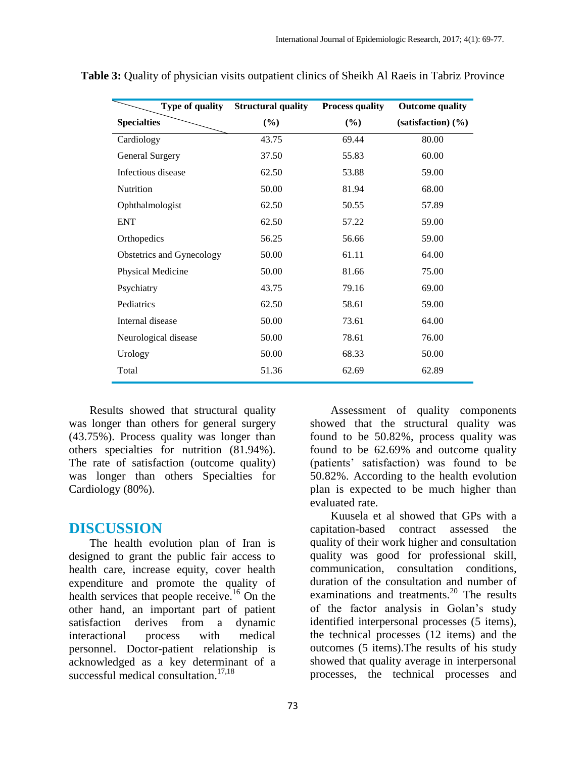| Type of quality           | <b>Structural quality</b> | <b>Process quality</b> | <b>Outcome quality</b>          |
|---------------------------|---------------------------|------------------------|---------------------------------|
| <b>Specialties</b>        | (%)                       | (%)                    | $(satisfactor)$ $(\frac{9}{6})$ |
| Cardiology                | 43.75                     | 69.44                  | 80.00                           |
| <b>General Surgery</b>    | 37.50                     | 55.83                  | 60.00                           |
| Infectious disease        | 62.50                     | 53.88                  | 59.00                           |
| Nutrition                 | 50.00                     | 81.94                  | 68.00                           |
| Ophthalmologist           | 62.50                     | 50.55                  | 57.89                           |
| <b>ENT</b>                | 62.50                     | 57.22                  | 59.00                           |
| Orthopedics               | 56.25                     | 56.66                  | 59.00                           |
| Obstetrics and Gynecology | 50.00                     | 61.11                  | 64.00                           |
| Physical Medicine         | 50.00                     | 81.66                  | 75.00                           |
| Psychiatry                | 43.75                     | 79.16                  | 69.00                           |
| Pediatrics                | 62.50                     | 58.61                  | 59.00                           |
| Internal disease          | 50.00                     | 73.61                  | 64.00                           |
| Neurological disease      | 50.00                     | 78.61                  | 76.00                           |
| Urology                   | 50.00                     | 68.33                  | 50.00                           |
| Total                     | 51.36                     | 62.69                  | 62.89                           |

**Table 3:** Quality of physician visits outpatient clinics of Sheikh Al Raeis in Tabriz Province

Results showed that structural quality was longer than others for general surgery (43.75%). Process quality was longer than others specialties for nutrition (81.94%). The rate of satisfaction (outcome quality) was longer than others Specialties for Cardiology (80%).

### **DISCUSSION**

The health evolution plan of Iran is designed to grant the public fair access to health care, increase equity, cover health expenditure and promote the quality of health services that people receive. <sup>16</sup> On the other hand, an important part of patient satisfaction derives from a dynamic interactional process with medical personnel. Doctor-patient relationship is acknowledged as a key determinant of a successful medical consultation. 17,18

Assessment of quality components showed that the structural quality was found to be 50.82%, process quality was found to be 62.69% and outcome quality (patients' satisfaction) was found to be 50.82%. According to the health evolution plan is expected to be much higher than evaluated rate.

Kuusela et al showed that GPs with a capitation-based contract assessed the quality of their work higher and consultation quality was good for professional skill, communication, consultation conditions, duration of the consultation and number of examinations and treatments.<sup>20</sup> The results of the factor analysis in Golan's study identified interpersonal processes (5 items), the technical processes (12 items) and the outcomes (5 items).The results of his study showed that quality average in interpersonal processes, the technical processes and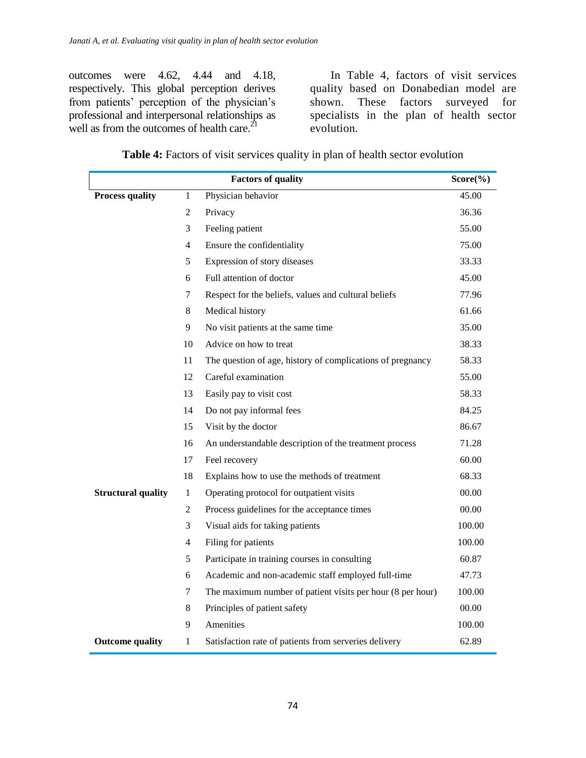outcomes were 4.62, 4.44 and 4.18, respectively. This global perception derives from patients' perception of the physician's professional and interpersonal relationships as well as from the outcomes of health care.<sup>21</sup>

In Table 4, factors of visit services quality based on Donabedian model are shown. These factors surveyed for specialists in the plan of health sector evolution.

|                           |                | <b>Factors of quality</b>                                  | $Score(\%)$ |
|---------------------------|----------------|------------------------------------------------------------|-------------|
| <b>Process quality</b>    | 1              | Physician behavior                                         | 45.00       |
|                           | 2              | Privacy                                                    | 36.36       |
|                           | 3              | Feeling patient                                            | 55.00       |
|                           | $\overline{4}$ | Ensure the confidentiality                                 | 75.00       |
|                           | 5              | Expression of story diseases                               | 33.33       |
|                           | 6              | Full attention of doctor                                   | 45.00       |
|                           | 7              | Respect for the beliefs, values and cultural beliefs       | 77.96       |
|                           | $\,8\,$        | Medical history                                            | 61.66       |
|                           | 9              | No visit patients at the same time                         | 35.00       |
|                           | 10             | Advice on how to treat                                     | 38.33       |
|                           | 11             | The question of age, history of complications of pregnancy | 58.33       |
|                           | 12             | Careful examination                                        | 55.00       |
|                           | 13             | Easily pay to visit cost                                   | 58.33       |
|                           | 14             | Do not pay informal fees                                   | 84.25       |
|                           | 15             | Visit by the doctor                                        | 86.67       |
|                           | 16             | An understandable description of the treatment process     | 71.28       |
|                           | 17             | Feel recovery                                              | 60.00       |
|                           | 18             | Explains how to use the methods of treatment               | 68.33       |
| <b>Structural quality</b> | $\,1$          | Operating protocol for outpatient visits                   | 00.00       |
|                           | $\overline{2}$ | Process guidelines for the acceptance times                | 00.00       |
|                           | 3              | Visual aids for taking patients                            | 100.00      |
|                           | 4              | Filing for patients                                        | 100.00      |
|                           | 5              | Participate in training courses in consulting              | 60.87       |
|                           | $\sqrt{6}$     | Academic and non-academic staff employed full-time         | 47.73       |
|                           | 7              | The maximum number of patient visits per hour (8 per hour) | 100.00      |
|                           | 8              | Principles of patient safety                               | 00.00       |
|                           | 9              | Amenities                                                  | 100.00      |
| <b>Outcome quality</b>    | 1              | Satisfaction rate of patients from serveries delivery      | 62.89       |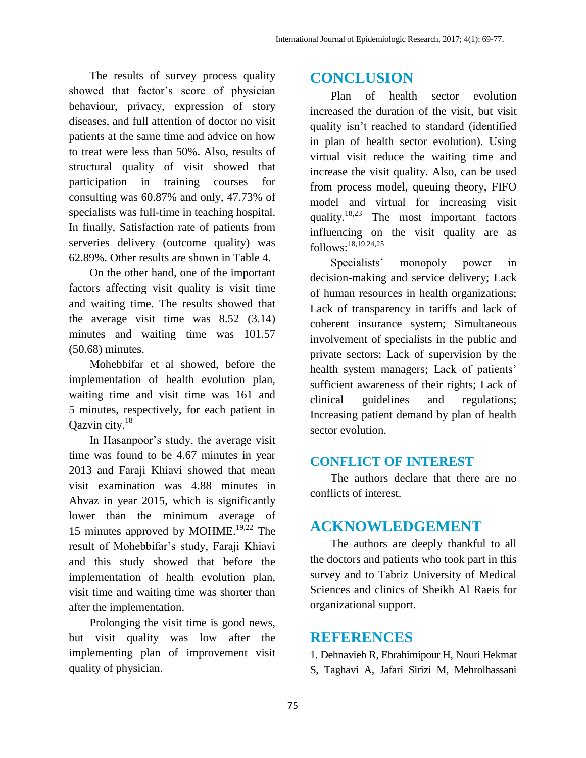The results of survey process quality showed that factor's score of physician behaviour, privacy, expression of story diseases, and full attention of doctor no visit patients at the same time and advice on how to treat were less than 50%. Also, results of structural quality of visit showed that participation in training courses for consulting was 60.87% and only, 47.73% of specialists was full-time in teaching hospital. In finally, Satisfaction rate of patients from serveries delivery (outcome quality) was 62.89%. Other results are shown in Table 4.

On the other hand, one of the important factors affecting visit quality is visit time and waiting time. The results showed that the average visit time was 8.52 (3.14) minutes and waiting time was 101.57 (50.68) minutes.

Mohebbifar et al showed, before the implementation of health evolution plan, waiting time and visit time was 161 and 5 minutes, respectively, for each patient in Qazvin city.<sup>18</sup>

In Hasanpoor's study, the average visit time was found to be 4.67 minutes in year 2013 and Faraji Khiavi showed that mean visit examination was 4.88 minutes in Ahvaz in year 2015, which is significantly lower than the minimum average of 15 minutes approved by MOHME. 19,22 The result of Mohebbifar's study, Faraji Khiavi and this study showed that before the implementation of health evolution plan, visit time and waiting time was shorter than after the implementation.

Prolonging the visit time is good news, but visit quality was low after the implementing plan of improvement visit quality of physician.

# **CONCLUSION**

Plan of health sector evolution increased the duration of the visit, but visit quality isn't reached to standard (identified in plan of health sector evolution). Using virtual visit reduce the waiting time and increase the visit quality. Also, can be used from process model, queuing theory, FIFO model and virtual for increasing visit quality.<sup>18,23</sup> The most important factors influencing on the visit quality are as follows: 18,19,24,25

Specialists' monopoly power in decision-making and service delivery; Lack of human resources in health organizations; Lack of transparency in tariffs and lack of coherent insurance system; Simultaneous involvement of specialists in the public and private sectors; Lack of supervision by the health system managers; Lack of patients' sufficient awareness of their rights; Lack of clinical guidelines and regulations; Increasing patient demand by plan of health sector evolution.

### **CONFLICT OF INTEREST**

The authors declare that there are no conflicts of interest.

# **ACKNOWLEDGEMENT**

The authors are deeply thankful to all the doctors and patients who took part in this survey and to Tabriz University of Medical Sciences and clinics of Sheikh Al Raeis for organizational support.

## **REFERENCES**

1. Dehnavieh R, Ebrahimipour H, Nouri Hekmat S, Taghavi A, Jafari Sirizi M, Mehrolhassani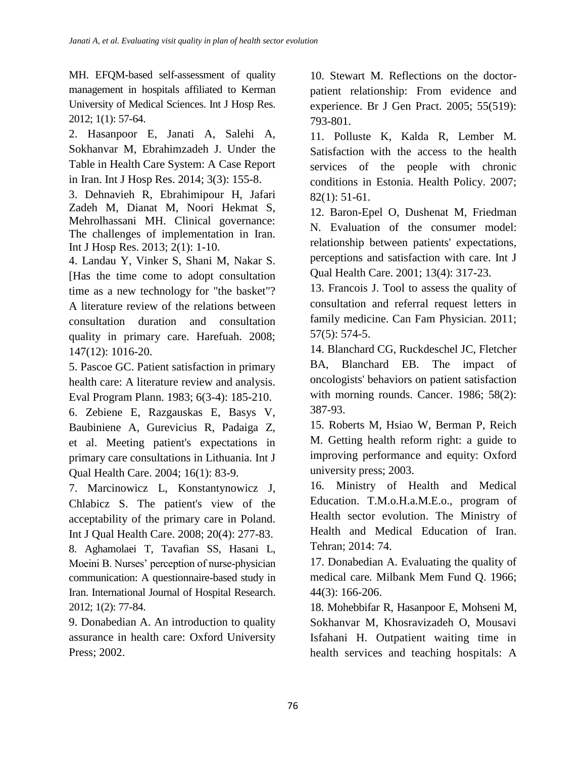MH. EFQM-based self-assessment of quality management in hospitals affiliated to Kerman University of Medical Sciences. Int J Hosp Res. 2012; 1(1): 57-64.

2. Hasanpoor E, Janati A, Salehi A, Sokhanvar M, Ebrahimzadeh J. Under the Table in Health Care System: A Case Report in Iran. Int J Hosp Res. 2014; 3(3): 155-8.

3. Dehnavieh R, Ebrahimipour H, Jafari Zadeh M, Dianat M, Noori Hekmat S, Mehrolhassani MH. Clinical governance: The challenges of implementation in Iran. Int J Hosp Res. 2013; 2(1): 1-10.

4. Landau Y, Vinker S, Shani M, Nakar S. [Has the time come to adopt consultation time as a new technology for "the basket"? A literature review of the relations between consultation duration and consultation quality in primary care. Harefuah. 2008; 147(12): 1016-20.

5. Pascoe GC. Patient satisfaction in primary health care: A literature review and analysis. Eval Program Plann. 1983; 6(3-4): 185-210.

6. Zebiene E, Razgauskas E, Basys V, Baubiniene A, Gurevicius R, Padaiga Z, et al. Meeting patient's expectations in primary care consultations in Lithuania. Int J Qual Health Care. 2004; 16(1): 83-9.

7. Marcinowicz L, Konstantynowicz J, Chlabicz S. The patient's view of the acceptability of the primary care in Poland. Int J Qual Health Care. 2008; 20(4): 277-83. 8. Aghamolaei T, Tavafian SS, Hasani L, Moeini B. Nurses' perception of nurse-physician communication: A questionnaire-based study in

Iran. International Journal of Hospital Research. 2012; 1(2): 77-84.

9. Donabedian A. An introduction to quality assurance in health care: Oxford University Press; 2002.

10. Stewart M. Reflections on the doctorpatient relationship: From evidence and experience. Br J Gen Pract. 2005; 55(519): 793-801.

11. Polluste K, Kalda R, Lember M. Satisfaction with the access to the health services of the people with chronic conditions in Estonia. Health Policy. 2007; 82(1): 51-61.

12. Baron-Epel O, Dushenat M, Friedman N. Evaluation of the consumer model: relationship between patients' expectations, perceptions and satisfaction with care. Int J Qual Health Care. 2001; 13(4): 317-23.

13. Francois J. Tool to assess the quality of consultation and referral request letters in family medicine. Can Fam Physician. 2011; 57(5): 574-5.

14. Blanchard CG, Ruckdeschel JC, Fletcher BA, Blanchard EB. The impact of oncologists' behaviors on patient satisfaction with morning rounds. Cancer. 1986; 58(2): 387-93.

15. Roberts M, Hsiao W, Berman P, Reich M. Getting health reform right: a guide to improving performance and equity: Oxford university press; 2003.

16. Ministry of Health and Medical Education. T.M.o.H.a.M.E.o., program of Health sector evolution. The Ministry of Health and Medical Education of Iran. Tehran; 2014: 74.

17. Donabedian A. Evaluating the quality of medical care. Milbank Mem Fund Q. 1966; 44(3): 166-206.

18. Mohebbifar R, Hasanpoor E, Mohseni M, Sokhanvar M, Khosravizadeh O, Mousavi Isfahani H. Outpatient waiting time in health services and teaching hospitals: A